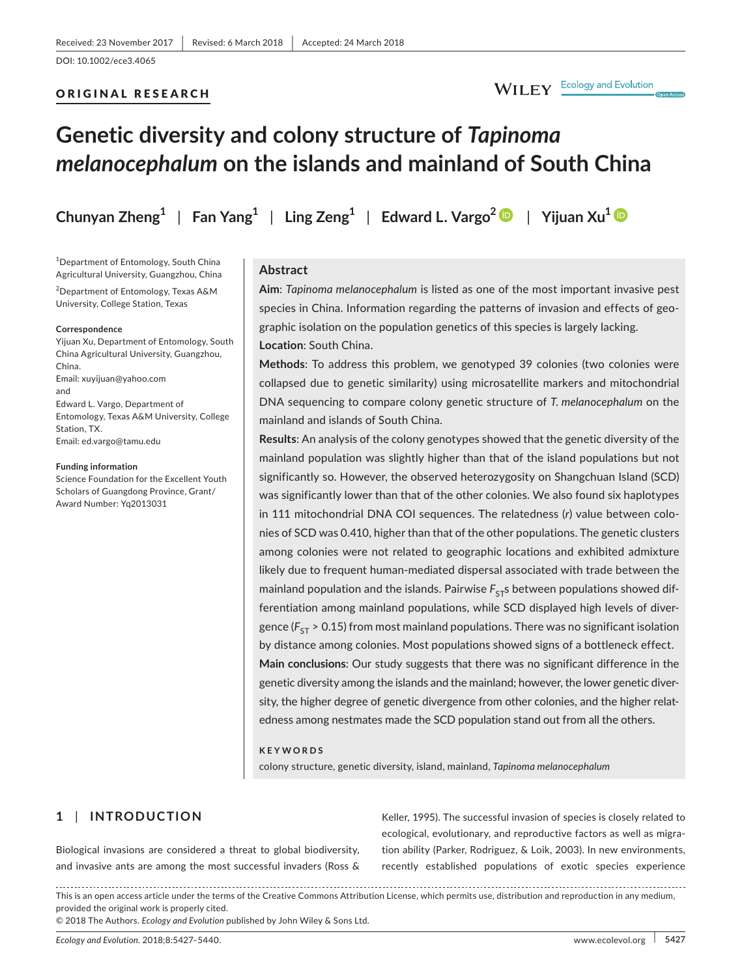# ORIGINAL RESEARCH

# **Genetic diversity and colony structure of** *Tapinoma melanocephalum* **on the islands and mainland of South China**

**Chunyan Zheng**<sup>1</sup> | Fan Yang<sup>1</sup> | Ling Zeng<sup>1</sup> | Edward L. Vargo<sup>[2](http://orcid.org/0000-0002-8712-1248)</sup> | Yijuan Xu<sup>[1](http://orcid.org/0000-0003-1304-6289)</sup> | 20

1 Department of Entomology, South China Agricultural University, Guangzhou, China

 $^{2}$ Department of Entomology, Texas A&M University, College Station, Texas

#### **Correspondence**

Yijuan Xu, Department of Entomology, South China Agricultural University, Guangzhou, China. Email: [xuyijuan@yahoo.com](mailto:xuyijuan@yahoo.com) and Edward L. Vargo, Department of Entomology, Texas A&M University, College Station, TX. Email: [ed.vargo@tamu.edu](mailto:ed.vargo@tamu.edu)

#### **Funding information**

Science Foundation for the Excellent Youth Scholars of Guangdong Province, Grant/ Award Number: Yq2013031

# **Abstract**

**Aim**: *Tapinoma melanocephalum* is listed as one of the most important invasive pest species in China. Information regarding the patterns of invasion and effects of geographic isolation on the population genetics of this species is largely lacking. **Location**: South China.

**Methods**: To address this problem, we genotyped 39 colonies (two colonies were collapsed due to genetic similarity) using microsatellite markers and mitochondrial DNA sequencing to compare colony genetic structure of *T. melanocephalum* on the mainland and islands of South China.

**Results**: An analysis of the colony genotypes showed that the genetic diversity of the mainland population was slightly higher than that of the island populations but not significantly so. However, the observed heterozygosity on Shangchuan Island (SCD) was significantly lower than that of the other colonies. We also found six haplotypes in 111 mitochondrial DNA COI sequences. The relatedness (*r*) value between colonies of SCD was 0.410, higher than that of the other populations. The genetic clusters among colonies were not related to geographic locations and exhibited admixture likely due to frequent human-mediated dispersal associated with trade between the mainland population and the islands. Pairwise  $F_{ST}$ s between populations showed differentiation among mainland populations, while SCD displayed high levels of divergence ( $F_{ST}$  > 0.15) from most mainland populations. There was no significant isolation by distance among colonies. Most populations showed signs of a bottleneck effect. **Main conclusions**: Our study suggests that there was no significant difference in the genetic diversity among the islands and the mainland; however, the lower genetic diversity, the higher degree of genetic divergence from other colonies, and the higher relatedness among nestmates made the SCD population stand out from all the others.

#### **KEYWORDS**

colony structure, genetic diversity, island, mainland, *Tapinoma melanocephalum*

# **1** | **INTRODUCTION**

Biological invasions are considered a threat to global biodiversity, and invasive ants are among the most successful invaders (Ross & Keller, 1995). The successful invasion of species is closely related to ecological, evolutionary, and reproductive factors as well as migration ability (Parker, Rodriguez, & Loik, 2003). In new environments, recently established populations of exotic species experience

This is an open access article under the terms of the Creative Commons [Attribution](http://creativecommons.org/licenses/by/4.0/) License, which permits use, distribution and reproduction in any medium, provided the original work is properly cited.

© 2018 The Authors. *Ecology and Evolution* published by John Wiley & Sons Ltd.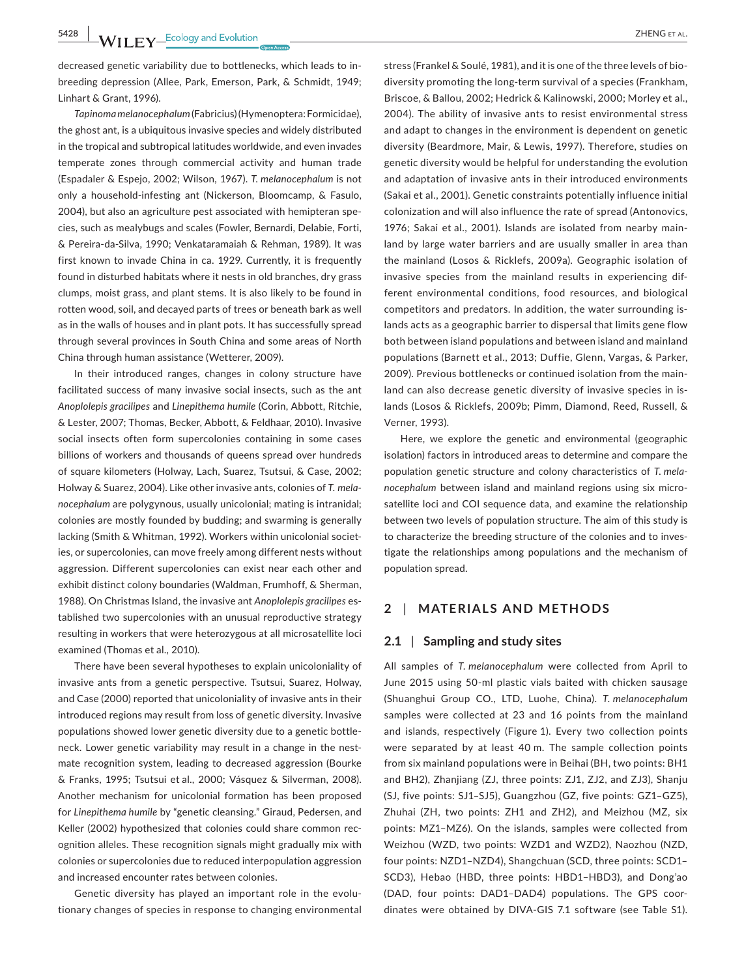**5428 WII FY** Ecology and Evolution **CONSIDER ALL CONSIDER ALL CONSIDER ALL CONSIDER ALL** 

decreased genetic variability due to bottlenecks, which leads to inbreeding depression (Allee, Park, Emerson, Park, & Schmidt, 1949; Linhart & Grant, 1996).

*Tapinoma melanocephalum*(Fabricius) (Hymenoptera:Formicidae), the ghost ant, is a ubiquitous invasive species and widely distributed in the tropical and subtropical latitudes worldwide, and even invades temperate zones through commercial activity and human trade (Espadaler & Espejo, 2002; Wilson, 1967). *T. melanocephalum* is not only a household-infesting ant (Nickerson, Bloomcamp, & Fasulo, 2004), but also an agriculture pest associated with hemipteran species, such as mealybugs and scales (Fowler, Bernardi, Delabie, Forti, & Pereira-da-Silva, 1990; Venkataramaiah & Rehman, 1989). It was first known to invade China in ca. 1929. Currently, it is frequently found in disturbed habitats where it nests in old branches, dry grass clumps, moist grass, and plant stems. It is also likely to be found in rotten wood, soil, and decayed parts of trees or beneath bark as well as in the walls of houses and in plant pots. It has successfully spread through several provinces in South China and some areas of North China through human assistance (Wetterer, 2009).

In their introduced ranges, changes in colony structure have facilitated success of many invasive social insects, such as the ant *Anoplolepis gracilipes* and *Linepithema humile* (Corin, Abbott, Ritchie, & Lester, 2007; Thomas, Becker, Abbott, & Feldhaar, 2010). Invasive social insects often form supercolonies containing in some cases billions of workers and thousands of queens spread over hundreds of square kilometers (Holway, Lach, Suarez, Tsutsui, & Case, 2002; Holway & Suarez, 2004). Like other invasive ants, colonies of *T. melanocephalum* are polygynous, usually unicolonial; mating is intranidal; colonies are mostly founded by budding; and swarming is generally lacking (Smith & Whitman, 1992). Workers within unicolonial societies, or supercolonies, can move freely among different nests without aggression. Different supercolonies can exist near each other and exhibit distinct colony boundaries (Waldman, Frumhoff, & Sherman, 1988). On Christmas Island, the invasive ant *Anoplolepis gracilipes* established two supercolonies with an unusual reproductive strategy resulting in workers that were heterozygous at all microsatellite loci examined (Thomas et al., 2010).

There have been several hypotheses to explain unicoloniality of invasive ants from a genetic perspective. Tsutsui, Suarez, Holway, and Case (2000) reported that unicoloniality of invasive ants in their introduced regions may result from loss of genetic diversity. Invasive populations showed lower genetic diversity due to a genetic bottleneck. Lower genetic variability may result in a change in the nestmate recognition system, leading to decreased aggression (Bourke & Franks, 1995; Tsutsui et al., 2000; Vásquez & Silverman, 2008). Another mechanism for unicolonial formation has been proposed for *Linepithema humile* by "genetic cleansing." Giraud, Pedersen, and Keller (2002) hypothesized that colonies could share common recognition alleles. These recognition signals might gradually mix with colonies or supercolonies due to reduced interpopulation aggression and increased encounter rates between colonies.

Genetic diversity has played an important role in the evolutionary changes of species in response to changing environmental

stress (Frankel & Soulé, 1981), and it is one of the three levels of biodiversity promoting the long-term survival of a species (Frankham, Briscoe, & Ballou, 2002; Hedrick & Kalinowski, 2000; Morley et al., 2004). The ability of invasive ants to resist environmental stress and adapt to changes in the environment is dependent on genetic diversity (Beardmore, Mair, & Lewis, 1997). Therefore, studies on genetic diversity would be helpful for understanding the evolution and adaptation of invasive ants in their introduced environments (Sakai et al., 2001). Genetic constraints potentially influence initial colonization and will also influence the rate of spread (Antonovics, 1976; Sakai et al., 2001). Islands are isolated from nearby mainland by large water barriers and are usually smaller in area than the mainland (Losos & Ricklefs, 2009a). Geographic isolation of invasive species from the mainland results in experiencing different environmental conditions, food resources, and biological competitors and predators. In addition, the water surrounding islands acts as a geographic barrier to dispersal that limits gene flow both between island populations and between island and mainland populations (Barnett et al., 2013; Duffie, Glenn, Vargas, & Parker, 2009). Previous bottlenecks or continued isolation from the mainland can also decrease genetic diversity of invasive species in islands (Losos & Ricklefs, 2009b; Pimm, Diamond, Reed, Russell, & Verner, 1993).

Here, we explore the genetic and environmental (geographic isolation) factors in introduced areas to determine and compare the population genetic structure and colony characteristics of *T. melanocephalum* between island and mainland regions using six microsatellite loci and COI sequence data, and examine the relationship between two levels of population structure. The aim of this study is to characterize the breeding structure of the colonies and to investigate the relationships among populations and the mechanism of population spread.

# **2** | **MATERIALS AND METHODS**

# **2.1** | **Sampling and study sites**

All samples of *T. melanocephalum* were collected from April to June 2015 using 50-ml plastic vials baited with chicken sausage (Shuanghui Group CO., LTD, Luohe, China). *T. melanocephalum* samples were collected at 23 and 16 points from the mainland and islands, respectively (Figure 1). Every two collection points were separated by at least 40 m. The sample collection points from six mainland populations were in Beihai (BH, two points: BH1 and BH2), Zhanjiang (ZJ, three points: ZJ1, ZJ2, and ZJ3), Shanju (SJ, five points: SJ1–SJ5), Guangzhou (GZ, five points: GZ1–GZ5), Zhuhai (ZH, two points: ZH1 and ZH2), and Meizhou (MZ, six points: MZ1–MZ6). On the islands, samples were collected from Weizhou (WZD, two points: WZD1 and WZD2), Naozhou (NZD, four points: NZD1–NZD4), Shangchuan (SCD, three points: SCD1– SCD3), Hebao (HBD, three points: HBD1–HBD3), and Dong'ao (DAD, four points: DAD1–DAD4) populations. The GPS coordinates were obtained by DIVA-GIS 7.1 software (see Table S1).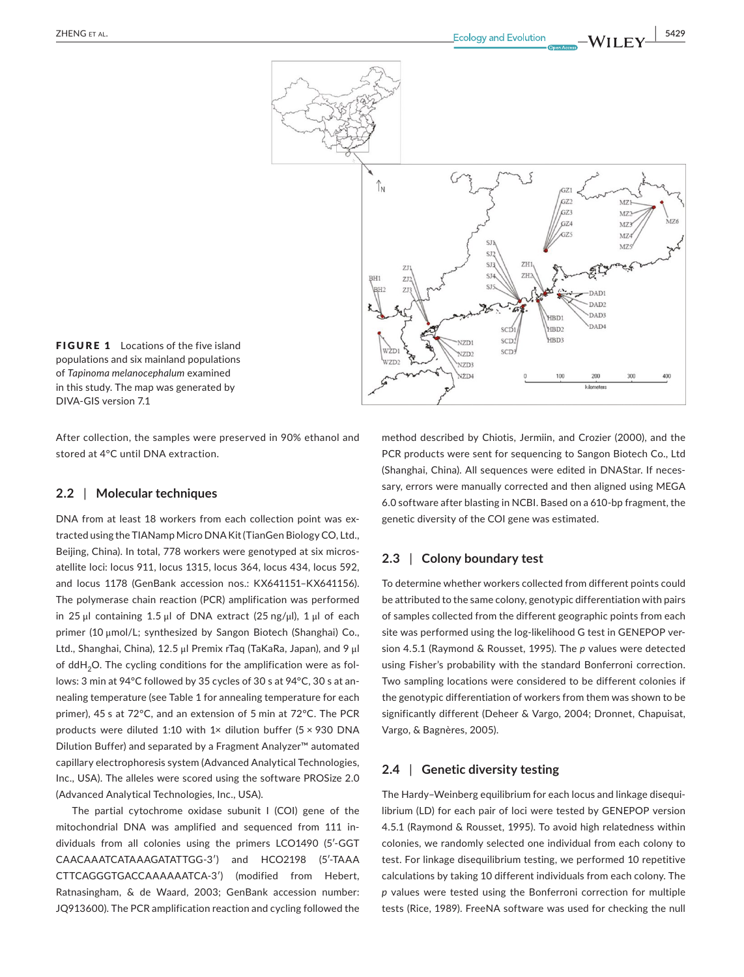

**FIGURE 1** Locations of the five island populations and six mainland populations of *Tapinoma melanocephalum* examined in this study. The map was generated by DIVA-GIS version 7.1

After collection, the samples were preserved in 90% ethanol and stored at 4°C until DNA extraction.

# **2.2** | **Molecular techniques**

DNA from at least 18 workers from each collection point was extracted using the TIANamp Micro DNA Kit(TianGen Biology CO, Ltd., Beijing, China). In total, 778 workers were genotyped at six microsatellite loci: locus 911, locus 1315, locus 364, locus 434, locus 592, and locus 1178 (GenBank accession nos.: KX641151–KX641156). The polymerase chain reaction (PCR) amplification was performed in 25 μl containing 1.5 μl of DNA extract (25 ng/μl), 1 μl of each primer (10 μmol/L; synthesized by Sangon Biotech (Shanghai) Co., Ltd., Shanghai, China), 12.5 μl Premix rTaq (TaKaRa, Japan), and 9 μl of  $ddH<sub>2</sub>O$ . The cycling conditions for the amplification were as follows: 3 min at 94°C followed by 35 cycles of 30 s at 94°C, 30 s at annealing temperature (see Table 1 for annealing temperature for each primer), 45 s at 72°C, and an extension of 5 min at 72°C. The PCR products were diluted 1:10 with 1× dilution buffer (5  $\times$  930 DNA Dilution Buffer) and separated by a Fragment Analyzer™ automated capillary electrophoresis system (Advanced Analytical Technologies, Inc., USA). The alleles were scored using the software PROSize 2.0 (Advanced Analytical Technologies, Inc., USA).

The partial cytochrome oxidase subunit I (COI) gene of the mitochondrial DNA was amplified and sequenced from 111 individuals from all colonies using the primers LCO1490 (5′-GGT CAACAAATCATAAAGATATTGG-3′) and HCO2198 (5′-TAAA CTTCAGGGTGACCAAAAAATCA-3′) (modified from Hebert, Ratnasingham, & de Waard, 2003; GenBank accession number: JQ913600). The PCR amplification reaction and cycling followed the

method described by Chiotis, Jermiin, and Crozier (2000), and the PCR products were sent for sequencing to Sangon Biotech Co., Ltd (Shanghai, China). All sequences were edited in DNAStar. If necessary, errors were manually corrected and then aligned using MEGA 6.0 software after blasting in NCBI. Based on a 610-bp fragment, the genetic diversity of the COI gene was estimated.

# **2.3** | **Colony boundary test**

To determine whether workers collected from different points could be attributed to the same colony, genotypic differentiation with pairs of samples collected from the different geographic points from each site was performed using the log-likelihood G test in GENEPOP version 4.5.1 (Raymond & Rousset, 1995). The *p* values were detected using Fisher's probability with the standard Bonferroni correction. Two sampling locations were considered to be different colonies if the genotypic differentiation of workers from them was shown to be significantly different (Deheer & Vargo, 2004; Dronnet, Chapuisat, Vargo, & Bagnères, 2005).

# **2.4** | **Genetic diversity testing**

The Hardy–Weinberg equilibrium for each locus and linkage disequilibrium (LD) for each pair of loci were tested by GENEPOP version 4.5.1 (Raymond & Rousset, 1995). To avoid high relatedness within colonies, we randomly selected one individual from each colony to test. For linkage disequilibrium testing, we performed 10 repetitive calculations by taking 10 different individuals from each colony. The *p* values were tested using the Bonferroni correction for multiple tests (Rice, 1989). FreeNA software was used for checking the null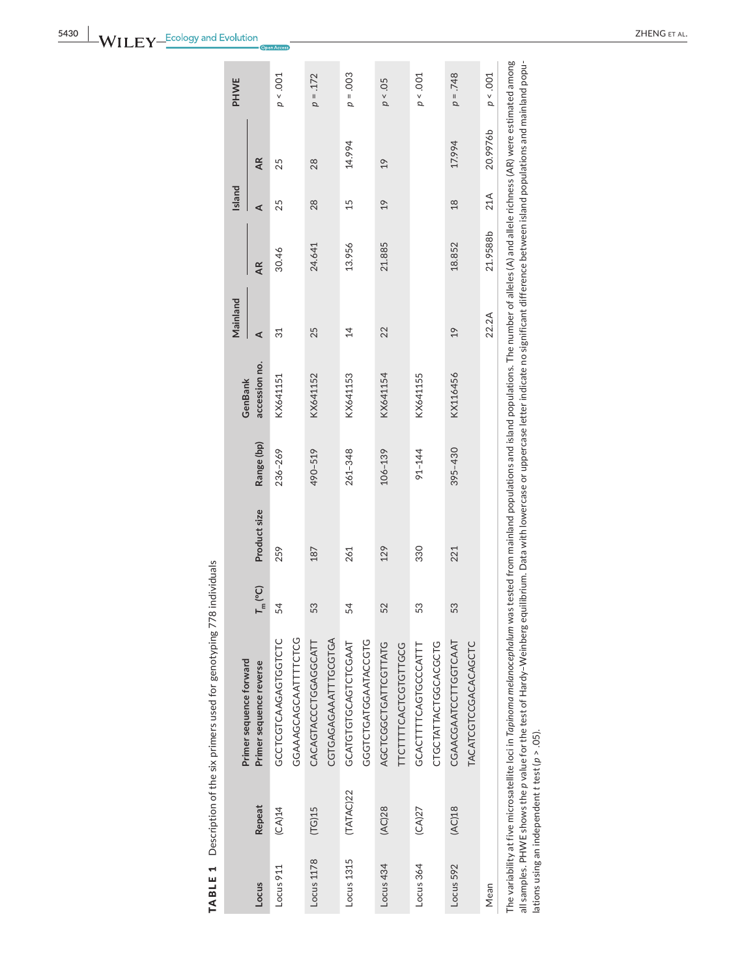| i<br>I<br>ì           |  |
|-----------------------|--|
| í<br>Ì<br>)           |  |
| ֚֡֕֡<br>١<br>5        |  |
| .<br>!                |  |
| <br> <br> <br>        |  |
| $\mathfrak{c}$        |  |
| i<br> <br> <br> <br>ŀ |  |

|            |           | Primer sequence forward                                                                                                                                                                                     |                  |              |             | GenBank       | Mainland       |          | Island |           | PHWE       |
|------------|-----------|-------------------------------------------------------------------------------------------------------------------------------------------------------------------------------------------------------------|------------------|--------------|-------------|---------------|----------------|----------|--------|-----------|------------|
| Locus      | Repeat    | Primer sequence reverse                                                                                                                                                                                     | $T_{\rm m}$ (°C) | Product size | Range (bp)  | accession no. | ⋖              | AR       | ⋖      | <b>AR</b> |            |
| Locus 911  | (CA)14    | GCCTCGTCAAGAGTGGTCTC                                                                                                                                                                                        | 54               | 259          | 236-269     | KX641151      | 31             | 30.46    | 25     | 25        | p < .001   |
|            |           | GGAAAGCAGCAATTTCTCG                                                                                                                                                                                         |                  |              |             |               |                |          |        |           |            |
| Locus 1178 | (TG)15    | CACAGTACCCTGGAGGCATT                                                                                                                                                                                        | 53               | 187          | 490-519     | KX641152      | 25             | 24.641   | 28     | 28        | $p = .172$ |
|            |           | CGTGAGAGAATTTGCGTGA                                                                                                                                                                                         |                  |              |             |               |                |          |        |           |            |
| Locus 1315 | (TATAC)22 | GCATGTGCAGTCTCGAAT                                                                                                                                                                                          | 54               | 261          | $261 - 348$ | KX641153      | $\overline{4}$ | 13.956   | 15     | 14.994    | $p = .003$ |
|            |           | GGGTCTGATGGAATACCGTG                                                                                                                                                                                        |                  |              |             |               |                |          |        |           |            |
| Locus 434  | (AC)28    | AGCTCGGCTGATTCGTTATG                                                                                                                                                                                        | 52               | 129          | $106 - 139$ | KX641154      | 22             | 21.885   | 19     | 19        | p < 0.5    |
|            |           | <b>TTCTTTTCACTGTTGCG</b>                                                                                                                                                                                    |                  |              |             |               |                |          |        |           |            |
| Locus 364  | (CA)27    | GCACTTTCAGTGCCCATT                                                                                                                                                                                          | 53               | 330          | 91-144      | KX641155      |                |          |        |           | $p < .001$ |
|            |           | CTGCTATTACTGGCACGCTG                                                                                                                                                                                        |                  |              |             |               |                |          |        |           |            |
| Locus 592  | (AC)18    | CGAACGAATCCTTGGTCAAT                                                                                                                                                                                        | 53               | 221          | 395-430     | KX116456      | 19             | 18.852   | 18     | 17.994    | $847. = q$ |
|            |           | TACATCGTCCACACAGCTC                                                                                                                                                                                         |                  |              |             |               |                |          |        |           |            |
| Mean       |           |                                                                                                                                                                                                             |                  |              |             |               | 22.2A          | 21.9588b | 21A    | 20.9976b  | p < 0.001  |
|            |           | The variability at five microsatellite loci in Tapinoma melanocephalum was tested from mainland populations and island populations. The number of alleles (A) and allele richness (AR) were estimated among |                  |              |             |               |                |          |        |           |            |

all samples. PHWE shows the p value for the test of Hardy–Weinberg equilibrium. Data with lowercase or uppercase letter indicate no significant difference between island populations and mainland popu-<br>Iations using an inde all samples. PHWE shows the *p* value for the test of Hardy–Weinberg equilibrium. Data with lowercase or uppercase letter indicate no significant difference between island populations and mainland populations using an independent *t* test (*p* > .05).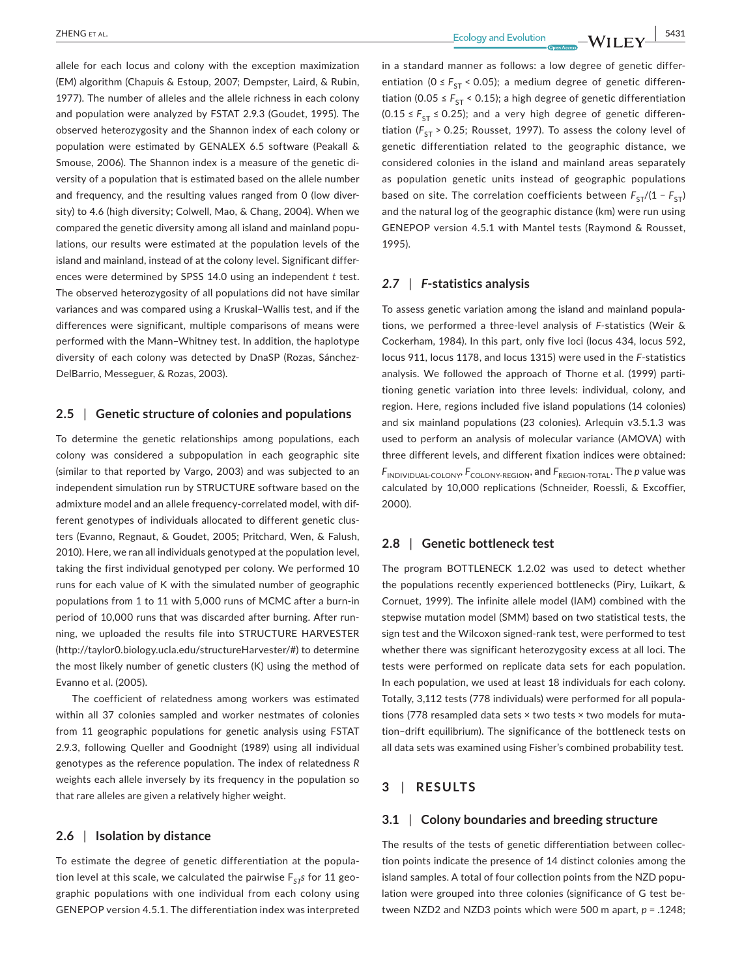allele for each locus and colony with the exception maximization (EM) algorithm (Chapuis & Estoup, 2007; Dempster, Laird, & Rubin, 1977). The number of alleles and the allele richness in each colony and population were analyzed by FSTAT 2.9.3 (Goudet, 1995). The observed heterozygosity and the Shannon index of each colony or population were estimated by GENALEX 6.5 software (Peakall & Smouse, 2006). The Shannon index is a measure of the genetic diversity of a population that is estimated based on the allele number and frequency, and the resulting values ranged from 0 (low diversity) to 4.6 (high diversity; Colwell, Mao, & Chang, 2004). When we compared the genetic diversity among all island and mainland populations, our results were estimated at the population levels of the island and mainland, instead of at the colony level. Significant differences were determined by SPSS 14.0 using an independent *t* test. The observed heterozygosity of all populations did not have similar variances and was compared using a Kruskal–Wallis test, and if the differences were significant, multiple comparisons of means were performed with the Mann–Whitney test. In addition, the haplotype diversity of each colony was detected by DnaSP (Rozas, Sánchez-DelBarrio, Messeguer, & Rozas, 2003).

## **2.5** | **Genetic structure of colonies and populations**

To determine the genetic relationships among populations, each colony was considered a subpopulation in each geographic site (similar to that reported by Vargo, 2003) and was subjected to an independent simulation run by STRUCTURE software based on the admixture model and an allele frequency-correlated model, with different genotypes of individuals allocated to different genetic clusters (Evanno, Regnaut, & Goudet, 2005; Pritchard, Wen, & Falush, 2010). Here, we ran all individuals genotyped at the population level, taking the first individual genotyped per colony. We performed 10 runs for each value of K with the simulated number of geographic populations from 1 to 11 with 5,000 runs of MCMC after a burn-in period of 10,000 runs that was discarded after burning. After running, we uploaded the results file into STRUCTURE HARVESTER (<http://taylor0.biology.ucla.edu/structureHarvester/>#) to determine the most likely number of genetic clusters (K) using the method of Evanno et al. (2005).

The coefficient of relatedness among workers was estimated within all 37 colonies sampled and worker nestmates of colonies from 11 geographic populations for genetic analysis using FSTAT 2.9.3, following Queller and Goodnight (1989) using all individual genotypes as the reference population. The index of relatedness *R* weights each allele inversely by its frequency in the population so that rare alleles are given a relatively higher weight.

# **2.6** | **Isolation by distance**

To estimate the degree of genetic differentiation at the population level at this scale, we calculated the pairwise  $F_{ST}$ s for 11 geographic populations with one individual from each colony using GENEPOP version 4.5.1. The differentiation index was interpreted in a standard manner as follows: a low degree of genetic differentiation ( $0 \le F_{ST}$  < 0.05); a medium degree of genetic differentiation (0.05  $\leq$   $F_{ST}$  < 0.15); a high degree of genetic differentiation  $(0.15 \le F_{ST} \le 0.25)$ ; and a very high degree of genetic differentiation ( $F_{ST}$  > 0.25; Rousset, 1997). To assess the colony level of genetic differentiation related to the geographic distance, we considered colonies in the island and mainland areas separately as population genetic units instead of geographic populations based on site. The correlation coefficients between  $F_{ST}/(1 - F_{ST})$ and the natural log of the geographic distance (km) were run using GENEPOP version 4.5.1 with Mantel tests (Raymond & Rousset, 1995).

# *2.7* | *F***-statistics analysis**

To assess genetic variation among the island and mainland populations, we performed a three-level analysis of *F*-statistics (Weir & Cockerham, 1984). In this part, only five loci (locus 434, locus 592, locus 911, locus 1178, and locus 1315) were used in the *F*-statistics analysis. We followed the approach of Thorne et al. (1999) partitioning genetic variation into three levels: individual, colony, and region. Here, regions included five island populations (14 colonies) and six mainland populations (23 colonies). Arlequin v3.5.1.3 was used to perform an analysis of molecular variance (AMOVA) with three different levels, and different fixation indices were obtained:  $F_{\text{INDIVIDUAL-COLONY}}$ ,  $F_{\text{COLONY-REGION}}$ , and  $F_{\text{REGION-TOTAL}}$ . The *p* value was calculated by 10,000 replications (Schneider, Roessli, & Excoffier, 2000).

#### **2.8** | **Genetic bottleneck test**

The program BOTTLENECK 1.2.02 was used to detect whether the populations recently experienced bottlenecks (Piry, Luikart, & Cornuet, 1999). The infinite allele model (IAM) combined with the stepwise mutation model (SMM) based on two statistical tests, the sign test and the Wilcoxon signed-rank test, were performed to test whether there was significant heterozygosity excess at all loci. The tests were performed on replicate data sets for each population. In each population, we used at least 18 individuals for each colony. Totally, 3,112 tests (778 individuals) were performed for all populations (778 resampled data sets × two tests × two models for mutation–drift equilibrium). The significance of the bottleneck tests on all data sets was examined using Fisher's combined probability test.

# **3** | **RESULTS**

#### **3.1** | **Colony boundaries and breeding structure**

The results of the tests of genetic differentiation between collection points indicate the presence of 14 distinct colonies among the island samples. A total of four collection points from the NZD population were grouped into three colonies (significance of G test between NZD2 and NZD3 points which were 500 m apart, *p* = .1248;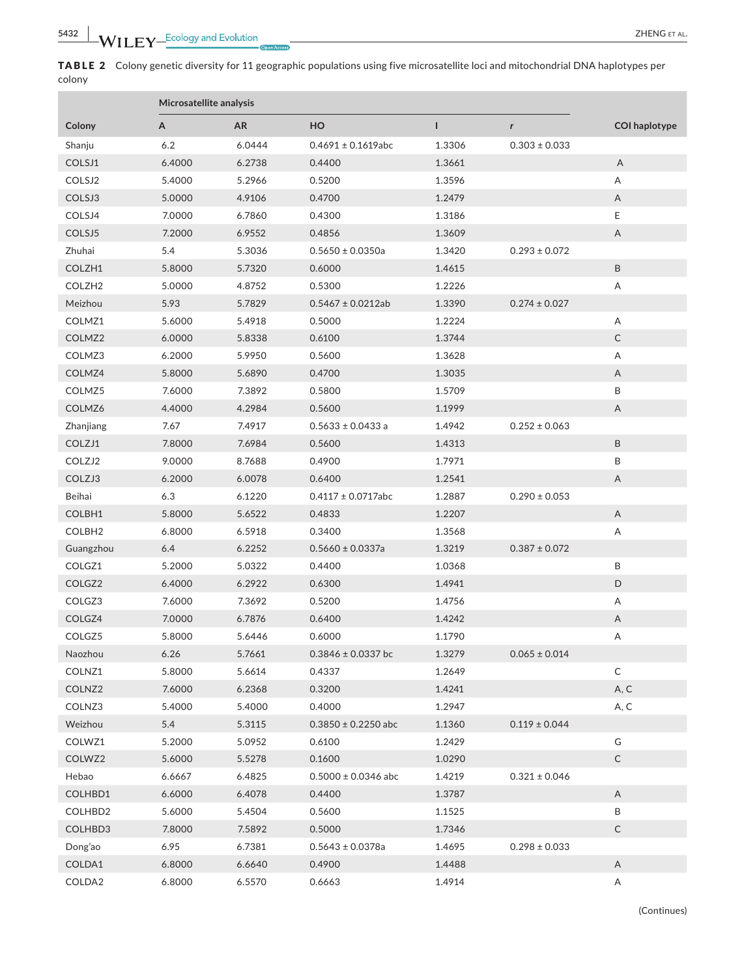TABLE 2 Colony genetic diversity for 11 geographic populations using five microsatellite loci and mitochondrial DNA haplotypes per colony

|                    | Microsatellite analysis |           |                         |        |                   |                           |
|--------------------|-------------------------|-----------|-------------------------|--------|-------------------|---------------------------|
| Colony             | А                       | <b>AR</b> | HO                      | L      | r                 | <b>COI</b> haplotype      |
| Shanju             | 6.2                     | 6.0444    | $0.4691 \pm 0.1619$ abc | 1.3306 | $0.303 \pm 0.033$ |                           |
| COLSJ1             | 6.4000                  | 6.2738    | 0.4400                  | 1.3661 |                   | A                         |
| COLSJ2             | 5.4000                  | 5.2966    | 0.5200                  | 1.3596 |                   | Α                         |
| COLSJ3             | 5.0000                  | 4.9106    | 0.4700                  | 1.2479 |                   | Α                         |
| COLSJ4             | 7.0000                  | 6.7860    | 0.4300                  | 1.3186 |                   | Е                         |
| COLSJ5             | 7.2000                  | 6.9552    | 0.4856                  | 1.3609 |                   | A                         |
| Zhuhai             | 5.4                     | 5.3036    | $0.5650 \pm 0.0350a$    | 1.3420 | $0.293 \pm 0.072$ |                           |
| COLZH1             | 5.8000                  | 5.7320    | 0.6000                  | 1.4615 |                   | $\sf B$                   |
| COLZH <sub>2</sub> | 5.0000                  | 4.8752    | 0.5300                  | 1.2226 |                   | Α                         |
| Meizhou            | 5.93                    | 5.7829    | $0.5467 \pm 0.0212$ ab  | 1.3390 | $0.274 \pm 0.027$ |                           |
| COLMZ1             | 5.6000                  | 5.4918    | 0.5000                  | 1.2224 |                   | Α                         |
| COLMZ <sub>2</sub> | 6.0000                  | 5.8338    | 0.6100                  | 1.3744 |                   | $\mathsf C$               |
| COLMZ3             | 6.2000                  | 5.9950    | 0.5600                  | 1.3628 |                   | Α                         |
| COLMZ4             | 5.8000                  | 5.6890    | 0.4700                  | 1.3035 |                   | Α                         |
| COLMZ5             | 7.6000                  | 7.3892    | 0.5800                  | 1.5709 |                   | B                         |
| COLMZ6             | 4.4000                  | 4.2984    | 0.5600                  | 1.1999 |                   | $\mathsf{A}$              |
| Zhanjiang          | 7.67                    | 7.4917    | $0.5633 \pm 0.0433$ a   | 1.4942 | $0.252 \pm 0.063$ |                           |
| COLZJ1             | 7.8000                  | 7.6984    | 0.5600                  | 1.4313 |                   | B                         |
| COLZJ2             | 9.0000                  | 8.7688    | 0.4900                  | 1.7971 |                   | B                         |
| COLZJ3             | 6.2000                  | 6.0078    | 0.6400                  | 1.2541 |                   | $\boldsymbol{\mathsf{A}}$ |
| Beihai             | 6.3                     | 6.1220    | $0.4117 \pm 0.0717$ abc | 1.2887 | $0.290 \pm 0.053$ |                           |
| COLBH1             | 5.8000                  | 5.6522    | 0.4833                  | 1.2207 |                   | A                         |
| COLBH <sub>2</sub> | 6.8000                  | 6.5918    | 0.3400                  | 1.3568 |                   | Α                         |
| Guangzhou          | 6.4                     | 6.2252    | $0.5660 \pm 0.0337a$    | 1.3219 | $0.387 \pm 0.072$ |                           |
| COLGZ1             | 5.2000                  | 5.0322    | 0.4400                  | 1.0368 |                   | B                         |
| COLGZ2             | 6.4000                  | 6.2922    | 0.6300                  | 1.4941 |                   | D                         |
| COLGZ3             | 7.6000                  | 7.3692    | 0.5200                  | 1.4756 |                   | Α                         |
| COLGZ4             | 7.0000                  | 6.7876    | 0.6400                  | 1.4242 |                   | A                         |
| COLGZ5             | 5.8000                  | 5.6446    | 0.6000                  | 1.1790 |                   | Α                         |
| <b>Naozhou</b>     | 6.26                    | 5.7661    | $0.3846 \pm 0.0337$ bc  | 1.3279 | $0.065 \pm 0.014$ |                           |
| COLNZ1             | 5.8000                  | 5.6614    | 0.4337                  | 1.2649 |                   | C                         |
| COLNZ <sub>2</sub> | 7.6000                  | 6.2368    | 0.3200                  | 1.4241 |                   | A, C                      |
| COLNZ3             | 5.4000                  | 5.4000    | 0.4000                  | 1.2947 |                   | A, C                      |
| Weizhou            | 5.4                     | 5.3115    | $0.3850 \pm 0.2250$ abc | 1.1360 | $0.119 \pm 0.044$ |                           |
| COLWZ1             | 5.2000                  | 5.0952    | 0.6100                  | 1.2429 |                   | G                         |
| COLWZ2             | 5.6000                  | 5.5278    | 0.1600                  | 1.0290 |                   | $\mathsf C$               |
| Hebao              | 6.6667                  | 6.4825    | $0.5000 \pm 0.0346$ abc | 1.4219 | $0.321 \pm 0.046$ |                           |
| COLHBD1            | 6.6000                  | 6.4078    | 0.4400                  | 1.3787 |                   | A                         |
| COLHBD2            | 5.6000                  | 5.4504    | 0.5600                  | 1.1525 |                   | B                         |
| COLHBD3            | 7.8000                  | 7.5892    | 0.5000                  | 1.7346 |                   | C                         |
| Dong'ao            | 6.95                    | 6.7381    | $0.5643 \pm 0.0378a$    | 1.4695 | $0.298 \pm 0.033$ |                           |
| COLDA1             | 6.8000                  | 6.6640    | 0.4900                  | 1.4488 |                   | Α                         |
| COLDA2             | 6.8000                  | 6.5570    | 0.6663                  | 1.4914 |                   | A                         |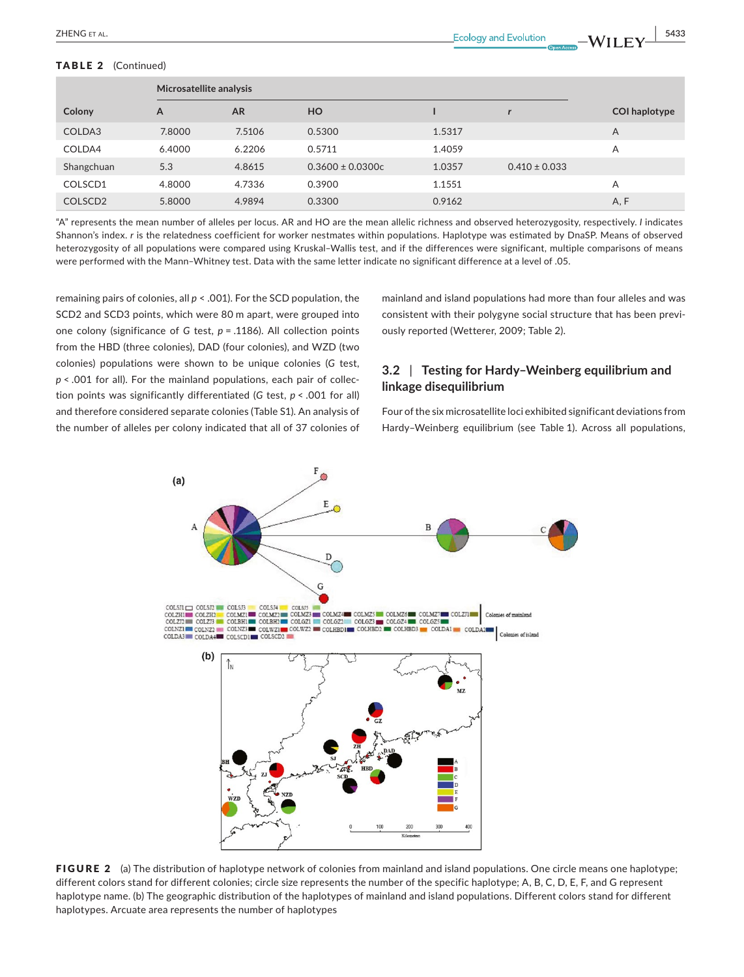#### TABLE 2 (Continued)

|                     | Microsatellite analysis |           |                      |        |                   |                      |
|---------------------|-------------------------|-----------|----------------------|--------|-------------------|----------------------|
| Colony              | A                       | <b>AR</b> | HO                   |        |                   | <b>COI haplotype</b> |
| COLDA3              | 7.8000                  | 7.5106    | 0.5300               | 1.5317 |                   | A                    |
| COLDA4              | 6.4000                  | 6.2206    | 0.5711               | 1.4059 |                   | A                    |
| Shangchuan          | 5.3                     | 4.8615    | $0.3600 \pm 0.0300c$ | 1.0357 | $0.410 \pm 0.033$ |                      |
| COLSCD1             | 4.8000                  | 4.7336    | 0.3900               | 1.1551 |                   | A                    |
| COLSCD <sub>2</sub> | 5.8000                  | 4.9894    | 0.3300               | 0.9162 |                   | A, F                 |

"A" represents the mean number of alleles per locus. AR and HO are the mean allelic richness and observed heterozygosity, respectively. *I* indicates Shannon's index. *r* is the relatedness coefficient for worker nestmates within populations. Haplotype was estimated by DnaSP. Means of observed heterozygosity of all populations were compared using Kruskal–Wallis test, and if the differences were significant, multiple comparisons of means were performed with the Mann–Whitney test. Data with the same letter indicate no significant difference at a level of .05.

remaining pairs of colonies, all *p* < .001). For the SCD population, the SCD2 and SCD3 points, which were 80 m apart, were grouped into one colony (significance of *G* test, *p* = .1186). All collection points from the HBD (three colonies), DAD (four colonies), and WZD (two colonies) populations were shown to be unique colonies (*G* test, *p* < .001 for all). For the mainland populations, each pair of collection points was significantly differentiated (*G* test, *p* < .001 for all) and therefore considered separate colonies (Table S1). An analysis of the number of alleles per colony indicated that all of 37 colonies of

mainland and island populations had more than four alleles and was consistent with their polygyne social structure that has been previously reported (Wetterer, 2009; Table 2).

# **3.2** | **Testing for Hardy–Weinberg equilibrium and linkage disequilibrium**

Four ofthe six microsatellite loci exhibited significant deviations from Hardy–Weinberg equilibrium (see Table 1). Across all populations,



FIGURE 2 (a) The distribution of haplotype network of colonies from mainland and island populations. One circle means one haplotype; different colors stand for different colonies; circle size represents the number of the specific haplotype; A, B, C, D, E, F, and G represent haplotype name. (b) The geographic distribution of the haplotypes of mainland and island populations. Different colors stand for different haplotypes. Arcuate area represents the number of haplotypes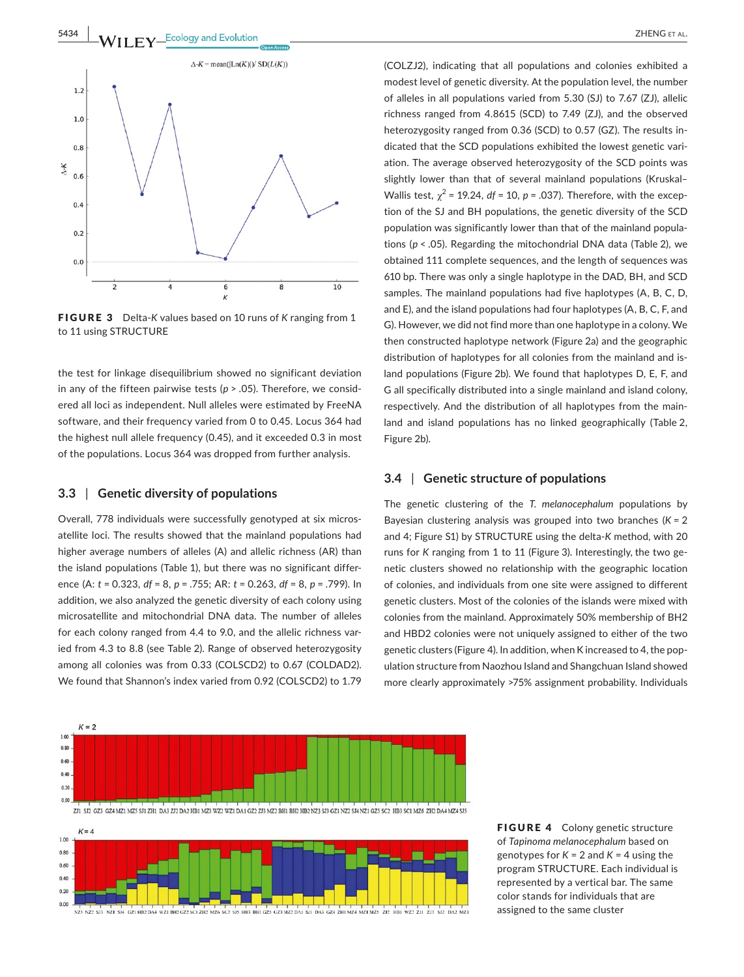

FIGURE 3 Delta-*K* values based on 10 runs of *K* ranging from 1 to 11 using STRUCTURE

the test for linkage disequilibrium showed no significant deviation in any of the fifteen pairwise tests (*p* > .05). Therefore, we considered all loci as independent. Null alleles were estimated by FreeNA software, and their frequency varied from 0 to 0.45. Locus 364 had the highest null allele frequency (0.45), and it exceeded 0.3 in most of the populations. Locus 364 was dropped from further analysis.

# **3.3** | **Genetic diversity of populations**

Overall, 778 individuals were successfully genotyped at six microsatellite loci. The results showed that the mainland populations had higher average numbers of alleles (A) and allelic richness (AR) than the island populations (Table 1), but there was no significant difference (A: *t* = 0.323, *df* = 8, *p* = .755; AR: *t* = 0.263, *df* = 8, *p* = .799). In addition, we also analyzed the genetic diversity of each colony using microsatellite and mitochondrial DNA data. The number of alleles for each colony ranged from 4.4 to 9.0, and the allelic richness varied from 4.3 to 8.8 (see Table 2). Range of observed heterozygosity among all colonies was from 0.33 (COLSCD2) to 0.67 (COLDAD2). We found that Shannon's index varied from 0.92 (COLSCD2) to 1.79 (COLZJ2), indicating that all populations and colonies exhibited a modest level of genetic diversity. At the population level, the number of alleles in all populations varied from 5.30 (SJ) to 7.67 (ZJ), allelic richness ranged from 4.8615 (SCD) to 7.49 (ZJ), and the observed heterozygosity ranged from 0.36 (SCD) to 0.57 (GZ). The results indicated that the SCD populations exhibited the lowest genetic variation. The average observed heterozygosity of the SCD points was slightly lower than that of several mainland populations (Kruskal– Wallis test,  $\chi^2$  = 19.24,  $df$  = 10,  $p$  = .037). Therefore, with the exception of the SJ and BH populations, the genetic diversity of the SCD population was significantly lower than that of the mainland populations (*p* < .05). Regarding the mitochondrial DNA data (Table 2), we obtained 111 complete sequences, and the length of sequences was 610 bp. There was only a single haplotype in the DAD, BH, and SCD samples. The mainland populations had five haplotypes (A, B, C, D, and E), and the island populations had four haplotypes (A, B, C, F, and G). However, we did not find more than one haplotype in a colony. We then constructed haplotype network (Figure 2a) and the geographic distribution of haplotypes for all colonies from the mainland and island populations (Figure 2b). We found that haplotypes D, E, F, and G all specifically distributed into a single mainland and island colony, respectively. And the distribution of all haplotypes from the mainland and island populations has no linked geographically (Table 2, Figure 2b).

# **3.4** | **Genetic structure of populations**

The genetic clustering of the *T. melanocephalum* populations by Bayesian clustering analysis was grouped into two branches (*K* = 2 and 4; Figure S1) by STRUCTURE using the delta-*K* method, with 20 runs for *K* ranging from 1 to 11 (Figure 3). Interestingly, the two genetic clusters showed no relationship with the geographic location of colonies, and individuals from one site were assigned to different genetic clusters. Most of the colonies of the islands were mixed with colonies from the mainland. Approximately 50% membership of BH2 and HBD2 colonies were not uniquely assigned to either of the two genetic clusters (Figure 4). In addition, when K increased to 4, the population structure from Naozhou Island and Shangchuan Island showed more clearly approximately >75% assignment probability. Individuals





FIGURE 4 Colony genetic structure of *Tapinoma melanocephalum* based on genotypes for  $K = 2$  and  $K = 4$  using the program STRUCTURE. Each individual is represented by a vertical bar. The same color stands for individuals that are assigned to the same cluster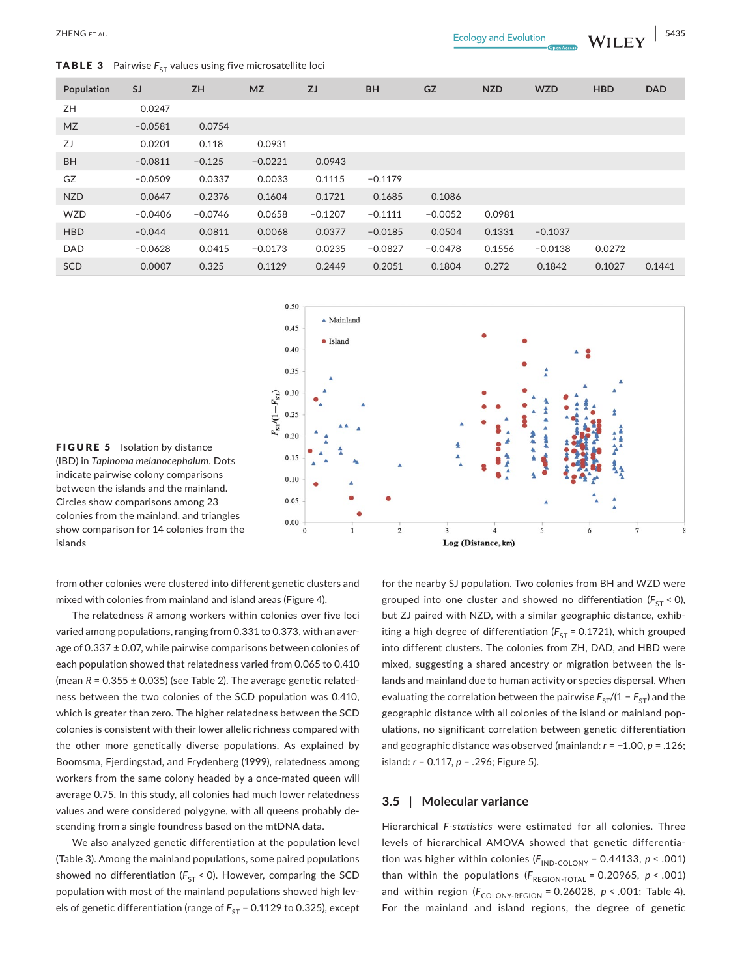**TABLE 3** Pairwise  $F_{ST}$  values using five microsatellite loci

 **ZHENG** ET AL. **EXELUTE:** THENG ET AL. **EXELUTE:**  $\frac{1}{2}$   $\frac{5435}{2}$ 

| Population | <b>SJ</b> | <b>ZH</b> | <b>MZ</b> | ZJ        | <b>BH</b> | <b>GZ</b> | <b>NZD</b> | <b>WZD</b> | <b>HBD</b> | <b>DAD</b> |
|------------|-----------|-----------|-----------|-----------|-----------|-----------|------------|------------|------------|------------|
| ZΗ         | 0.0247    |           |           |           |           |           |            |            |            |            |
| <b>MZ</b>  | $-0.0581$ | 0.0754    |           |           |           |           |            |            |            |            |
| ZJ         | 0.0201    | 0.118     | 0.0931    |           |           |           |            |            |            |            |
| <b>BH</b>  | $-0.0811$ | $-0.125$  | $-0.0221$ | 0.0943    |           |           |            |            |            |            |
| GZ         | $-0.0509$ | 0.0337    | 0.0033    | 0.1115    | $-0.1179$ |           |            |            |            |            |
| <b>NZD</b> | 0.0647    | 0.2376    | 0.1604    | 0.1721    | 0.1685    | 0.1086    |            |            |            |            |
| <b>WZD</b> | $-0.0406$ | $-0.0746$ | 0.0658    | $-0.1207$ | $-0.1111$ | $-0.0052$ | 0.0981     |            |            |            |
| <b>HBD</b> | $-0.044$  | 0.0811    | 0.0068    | 0.0377    | $-0.0185$ | 0.0504    | 0.1331     | $-0.1037$  |            |            |
| <b>DAD</b> | $-0.0628$ | 0.0415    | $-0.0173$ | 0.0235    | $-0.0827$ | $-0.0478$ | 0.1556     | $-0.0138$  | 0.0272     |            |
| <b>SCD</b> | 0.0007    | 0.325     | 0.1129    | 0.2449    | 0.2051    | 0.1804    | 0.272      | 0.1842     | 0.1027     | 0.1441     |



FIGURE 5 Isolation by distance (IBD) in *Tapinoma melanocephalum*. Dots indicate pairwise colony comparisons between the islands and the mainland. Circles show comparisons among 23 colonies from the mainland, and triangles show comparison for 14 colonies from the islands

from other colonies were clustered into different genetic clusters and mixed with colonies from mainland and island areas (Figure 4).

The relatedness *R* among workers within colonies over five loci varied among populations, ranging from 0.331 to 0.373, with an average of 0.337 ± 0.07, while pairwise comparisons between colonies of each population showed that relatedness varied from 0.065 to 0.410 (mean  $R = 0.355 \pm 0.035$ ) (see Table 2). The average genetic relatedness between the two colonies of the SCD population was 0.410, which is greater than zero. The higher relatedness between the SCD colonies is consistent with their lower allelic richness compared with the other more genetically diverse populations. As explained by Boomsma, Fjerdingstad, and Frydenberg (1999), relatedness among workers from the same colony headed by a once-mated queen will average 0.75. In this study, all colonies had much lower relatedness values and were considered polygyne, with all queens probably descending from a single foundress based on the mtDNA data.

We also analyzed genetic differentiation at the population level (Table 3). Among the mainland populations, some paired populations showed no differentiation ( $F_{ST}$  < 0). However, comparing the SCD population with most of the mainland populations showed high levels of genetic differentiation (range of  $F_{ST}$  = 0.1129 to 0.325), except for the nearby SJ population. Two colonies from BH and WZD were grouped into one cluster and showed no differentiation  $(F_{ST} < 0)$ , but ZJ paired with NZD, with a similar geographic distance, exhibiting a high degree of differentiation ( $F_{ST}$  = 0.1721), which grouped into different clusters. The colonies from ZH, DAD, and HBD were mixed, suggesting a shared ancestry or migration between the islands and mainland due to human activity or species dispersal. When evaluating the correlation between the pairwise  $F_{ST}/(1 - F_{ST})$  and the geographic distance with all colonies of the island or mainland populations, no significant correlation between genetic differentiation and geographic distance was observed (mainland: *r* = −1.00, *p* = .126; island: *r* = 0.117, *p* = .296; Figure 5).

# **3.5** | **Molecular variance**

Hierarchical *F-statistics* were estimated for all colonies. Three levels of hierarchical AMOVA showed that genetic differentiation was higher within colonies ( $F_{\text{IND-COLONY}}$  = 0.44133, *p* < .001) than within the populations  $(F_{\text{REGION-TOTAL}} = 0.20965, p < .001)$ and within region ( $F_{\text{COLONY-REGION}} = 0.26028$ ,  $p < .001$ ; Table 4). For the mainland and island regions, the degree of genetic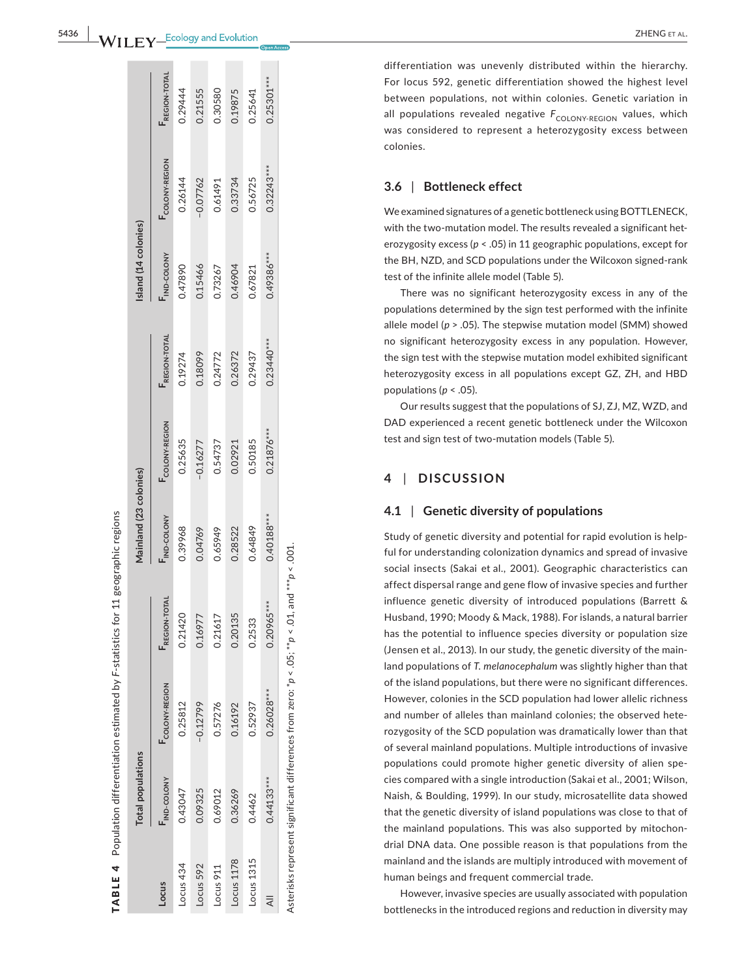differentiation was unevenly distributed within the hierarchy. For locus 592, genetic differentiation showed the highest level between populations, not within colonies. Genetic variation in all populations revealed negative  $F^{\rm COLONY-REGION}$  values, which was considered to represent a heterozygosity excess between colonies.

#### **3.6**  | **Bottleneck effect**

We examined signatures of a genetic bottleneck usingBOTTLENECK, with the two-mutation model. The results revealed a significant het erozygosity excess ( *p* < .05) in 11 geographic populations, except for the BH, NZD, and SCD populations under the Wilcoxon signed-rank test of the infinite allele model (Table 5).

There was no significant heterozygosity excess in any of the populations determined by the sign test performed with the infinite allele model ( *p* > .05). The stepwise mutation model (SMM) showed no significant heterozygosity excess in any population. However, the sign test with the stepwise mutation model exhibited significant heterozygosity excess in all populations except GZ, ZH, and HBD populations ( *p* < .05).

Our results suggest that the populations of SJ, ZJ, MZ, WZD, and DAD experienced a recent genetic bottleneck under the Wilcoxon test and sign test of two-mutation models (Table 5).

#### **4**  | **DISCUSSION**

# **4.1**  | **Genetic diversity of populations**

Study of genetic diversity and potential for rapid evolution is help ful for understanding colonization dynamics and spread of invasive social insects (Sakai et al., 2001). Geographic characteristics can affect dispersal range and gene flow of invasive species and further influence genetic diversity of introduced populations (Barrett & Husband, 1990; Moody & Mack, 1988). For islands, a natural barrier has the potential to influence species diversity or population size (Jensen et al., 2013). In our study, the genetic diversity of the main land populations of *T. melanocephalum* was slightly higher than that of the island populations, but there were no significant differences. However, colonies in the SCD population had lower allelic richness and number of alleles than mainland colonies; the observed hete rozygosity of the SCD population was dramatically lower than that of several mainland populations. Multiple introductions of invasive populations could promote higher genetic diversity of alien spe cies compared with a single introduction (Sakai et al., 2001; Wilson, Naish, & Boulding, 1999). In our study, microsatellite data showed that the genetic diversity of island populations was close to that of the mainland populations. This was also supported by mitochon drial DNA data. One possible reason is that populations from the mainland and the islands are multiply introduced with movement of human beings and frequent commercial trade.

However, invasive species are usually associated with population bottlenecks in the introduced regions and reduction in diversity may

| l                                                               |
|-----------------------------------------------------------------|
|                                                                 |
|                                                                 |
|                                                                 |
|                                                                 |
| 2                                                               |
|                                                                 |
| $\overline{a}$<br>l                                             |
|                                                                 |
| FAD IE<br>$\begin{bmatrix} 1 \\ 1 \\ 1 \end{bmatrix}$<br>J<br>l |

ons

|                | <b>Total populations</b> |                                                                                                     |                      | Mainland (23 colonies) |                |                      | Island (14 colonies) |               |                      |
|----------------|--------------------------|-----------------------------------------------------------------------------------------------------|----------------------|------------------------|----------------|----------------------|----------------------|---------------|----------------------|
| Locus          | <b>IND-COLONY</b>        | COLONY-REGION                                                                                       | <b>FREGION-TOTAL</b> | <b>IND-COLONY</b>      | FCOLONY-REGION | <b>FREGION-TOTAL</b> | IND-COLONY           | COLONY-REGION | <b>FREGION-TOTAL</b> |
| Locus 434      | 0.43047                  | 0.25812                                                                                             | 0.21420              | 0.39968                | 0.25635        | 0.19274              | 0.47890              | 0.26144       | 0.29444              |
| Locus 592      | 0.09325                  | $-0.12799$                                                                                          | 0.1697               | 0.04769                | $-0.16277$     | 0.18099              | 0.15466              | $-0.07762$    | 0.21555              |
| Locus 911      | 0.69012                  | 0.57276                                                                                             | 0.2161               | 0.65949                | 0.54737        | 0.24772              | 0.73267              | 0.61491       | 0.30580              |
| Locus 1178     | 0.36269                  | 0.16192                                                                                             | 0.20135              | 0.28522                | 0.02921        | 0.26372              | 06997                | 0.33734       | 0.19875              |
| Locus 1315     | 0.4462                   | 0.52937                                                                                             | 0.2533               | 0.64849                | 0.50185        | 0.29437              | 0.67821              | 0.56725       | 0.25641              |
| $\overline{4}$ | $0.44133***$             | $0.26028***$                                                                                        | $0.20965***$         | 0.40188***             | $0.21876***$   | $0.23440***$         | $0.49386***$         | $0.32243***$  | $0.25301***$         |
|                |                          | Asterisks represent significant differences from zero: $*p < .05$ ; $*p < .01$ , and $**p < .001$ . |                      |                        |                |                      |                      |               |                      |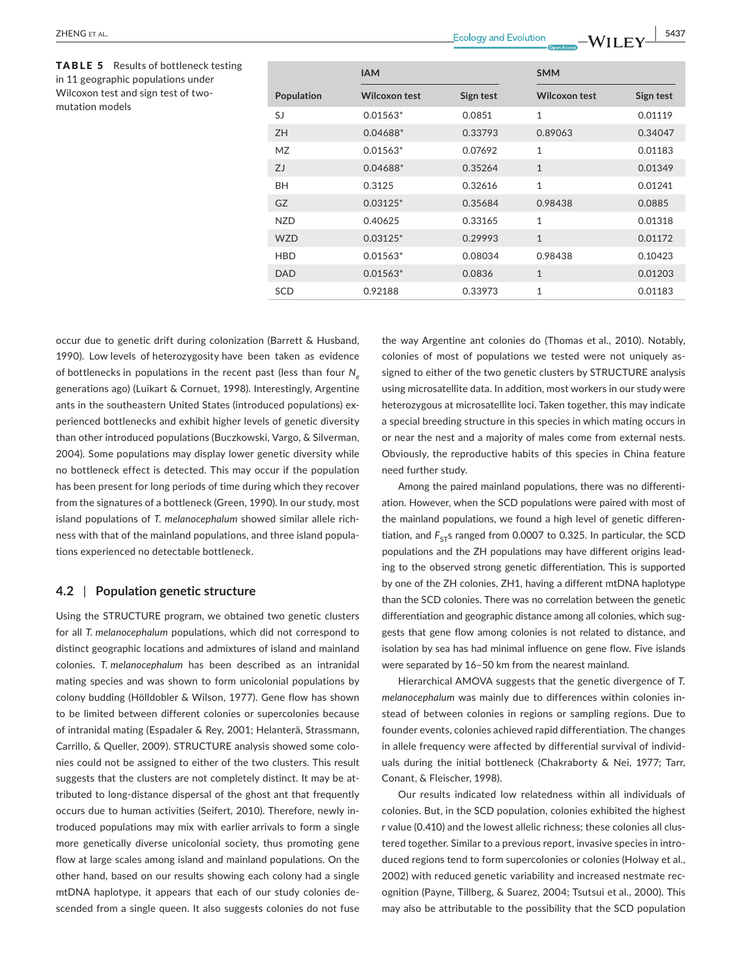| occur due to genetic drift during colonization (Barrett & Husband,     |
|------------------------------------------------------------------------|
| 1990). Low levels of heterozygosity have been taken as evidence        |
| of bottlenecks in populations in the recent past (less than four $N_a$ |
| generations ago) (Luikart & Cornuet, 1998). Interestingly, Argentine   |
| ants in the southeastern United States (introduced populations) ex-    |
| perienced bottlenecks and exhibit higher levels of genetic diversity   |
| than other introduced populations (Buczkowski, Vargo, & Silverman,     |
| 2004). Some populations may display lower genetic diversity while      |
| no bottleneck effect is detected. This may occur if the population     |
| has been present for long periods of time during which they recover    |
| from the signatures of a bottleneck (Green, 1990). In our study, most  |
| island populations of T. melanocephalum showed similar allele rich-    |
| ness with that of the mainland populations, and three island popula-   |
| tions experienced no detectable bottleneck.                            |
|                                                                        |

# **4.2** | **Population genetic structure**

Using the STRUCTURE program, we obtained two genetic clusters for all *T. melanocephalum* populations, which did not correspond to distinct geographic locations and admixtures of island and mainland colonies. *T. melanocephalum* has been described as an intranidal mating species and was shown to form unicolonial populations by colony budding (Hölldobler & Wilson, 1977). Gene flow has shown to be limited between different colonies or supercolonies because of intranidal mating (Espadaler & Rey, 2001; Helanterä, Strassmann, Carrillo, & Queller, 2009). STRUCTURE analysis showed some colonies could not be assigned to either of the two clusters. This result suggests that the clusters are not completely distinct. It may be attributed to long-distance dispersal of the ghost ant that frequently occurs due to human activities (Seifert, 2010). Therefore, newly introduced populations may mix with earlier arrivals to form a single more genetically diverse unicolonial society, thus promoting gene flow at large scales among island and mainland populations. On the other hand, based on our results showing each colony had a single mtDNA haplotype, it appears that each of our study colonies descended from a single queen. It also suggests colonies do not fuse the way Argentine ant colonies do (Thomas et al., 2010). Notably, colonies of most of populations we tested were not uniquely assigned to either of the two genetic clusters by STRUCTURE analysis using microsatellite data. In addition, most workers in our study were heterozygous at microsatellite loci. Taken together, this may indicate a special breeding structure in this species in which mating occurs in or near the nest and a majority of males come from external nests. Obviously, the reproductive habits of this species in China feature need further study.

Among the paired mainland populations, there was no differentiation. However, when the SCD populations were paired with most of the mainland populations, we found a high level of genetic differentiation, and  $F_{ST}$ s ranged from 0.0007 to 0.325. In particular, the SCD populations and the ZH populations may have different origins leading to the observed strong genetic differentiation. This is supported by one of the ZH colonies, ZH1, having a different mtDNA haplotype than the SCD colonies. There was no correlation between the genetic differentiation and geographic distance among all colonies, which suggests that gene flow among colonies is not related to distance, and isolation by sea has had minimal influence on gene flow. Five islands were separated by 16–50 km from the nearest mainland.

Hierarchical AMOVA suggests that the genetic divergence of *T. melanocephalum* was mainly due to differences within colonies instead of between colonies in regions or sampling regions. Due to founder events, colonies achieved rapid differentiation. The changes in allele frequency were affected by differential survival of individuals during the initial bottleneck (Chakraborty & Nei, 1977; Tarr, Conant, & Fleischer, 1998).

Our results indicated low relatedness within all individuals of colonies. But, in the SCD population, colonies exhibited the highest *r* value (0.410) and the lowest allelic richness; these colonies all clustered together. Similar to a previous report, invasive species in introduced regions tend to form supercolonies or colonies (Holway et al., 2002) with reduced genetic variability and increased nestmate recognition (Payne, Tillberg, & Suarez, 2004; Tsutsui et al., 2000). This may also be attributable to the possibility that the SCD population

TABLE 5 Results of bottleneck testing in 11 geographic populations under Wilcoxon test and sign test of twomutation models

|            | <b>IAM</b>           |           | <b>SMM</b>           |           |  |  |  |
|------------|----------------------|-----------|----------------------|-----------|--|--|--|
| Population | <b>Wilcoxon test</b> | Sign test | <b>Wilcoxon test</b> | Sign test |  |  |  |
| SJ         | $0.01563*$           | 0.0851    | $\mathbf{1}$         | 0.01119   |  |  |  |
| <b>ZH</b>  | $0.04688*$           | 0.33793   | 0.89063              | 0.34047   |  |  |  |
| <b>MZ</b>  | $0.01563*$           | 0.07692   | $\mathbf{1}$         | 0.01183   |  |  |  |
| ZJ         | 0.04688*             | 0.35264   | $\mathbf{1}$         | 0.01349   |  |  |  |
| BH         | 0.3125               | 0.32616   | $\mathbf{1}$         | 0.01241   |  |  |  |
| GZ         | $0.03125*$           | 0.35684   | 0.98438              | 0.0885    |  |  |  |
| <b>NZD</b> | 0.40625              | 0.33165   | $\mathbf{1}$         | 0.01318   |  |  |  |
| <b>WZD</b> | $0.03125*$           | 0.29993   | $\mathbf{1}$         | 0.01172   |  |  |  |
| <b>HBD</b> | $0.01563*$           | 0.08034   | 0.98438              | 0.10423   |  |  |  |
| <b>DAD</b> | $0.01563*$           | 0.0836    | $\mathbf{1}$         | 0.01203   |  |  |  |
| <b>SCD</b> | 0.92188              | 0.33973   | $\mathbf{1}$         | 0.01183   |  |  |  |

 **|** ZHENG et al. **5437**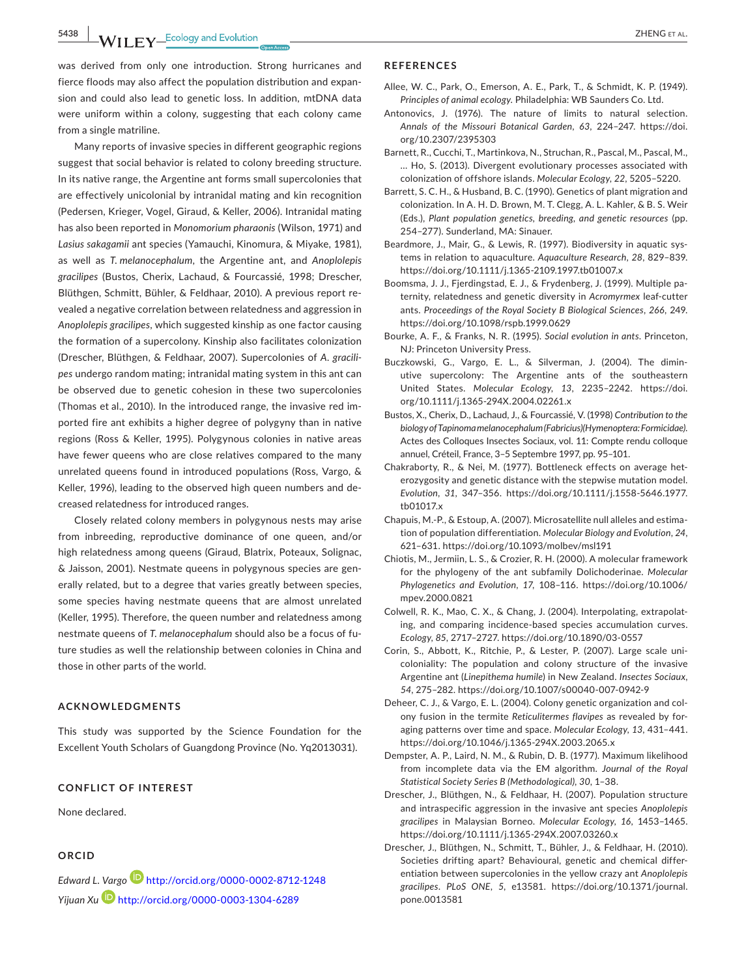**5438 WII FY** Ecology and Evolution **CONSISTENCE EXECUTER** EXPLORER AL.

was derived from only one introduction. Strong hurricanes and fierce floods may also affect the population distribution and expansion and could also lead to genetic loss. In addition, mtDNA data were uniform within a colony, suggesting that each colony came from a single matriline.

Many reports of invasive species in different geographic regions suggest that social behavior is related to colony breeding structure. In its native range, the Argentine ant forms small supercolonies that are effectively unicolonial by intranidal mating and kin recognition (Pedersen, Krieger, Vogel, Giraud, & Keller, 2006). Intranidal mating has also been reported in *Monomorium pharaonis* (Wilson, 1971) and *Lasius sakagamii* ant species (Yamauchi, Kinomura, & Miyake, 1981), as well as *T. melanocephalum*, the Argentine ant, and *Anoplolepis gracilipes* (Bustos, Cherix, Lachaud, & Fourcassié, 1998; Drescher, Blüthgen, Schmitt, Bühler, & Feldhaar, 2010). A previous report revealed a negative correlation between relatedness and aggression in *Anoplolepis gracilipes*, which suggested kinship as one factor causing the formation of a supercolony. Kinship also facilitates colonization (Drescher, Blüthgen, & Feldhaar, 2007). Supercolonies of *A. gracilipes* undergo random mating; intranidal mating system in this ant can be observed due to genetic cohesion in these two supercolonies (Thomas et al., 2010). In the introduced range, the invasive red imported fire ant exhibits a higher degree of polygyny than in native regions (Ross & Keller, 1995). Polygynous colonies in native areas have fewer queens who are close relatives compared to the many unrelated queens found in introduced populations (Ross, Vargo, & Keller, 1996), leading to the observed high queen numbers and decreased relatedness for introduced ranges.

Closely related colony members in polygynous nests may arise from inbreeding, reproductive dominance of one queen, and/or high relatedness among queens (Giraud, Blatrix, Poteaux, Solignac, & Jaisson, 2001). Nestmate queens in polygynous species are generally related, but to a degree that varies greatly between species, some species having nestmate queens that are almost unrelated (Keller, 1995). Therefore, the queen number and relatedness among nestmate queens of *T. melanocephalum* should also be a focus of future studies as well the relationship between colonies in China and those in other parts of the world.

## **ACKNOWLEDGMENTS**

This study was supported by the Science Foundation for the Excellent Youth Scholars of Guangdong Province (No. Yq2013031).

#### **CONFLICT OF INTEREST**

None declared.

# **ORCID**

*Edward L. Vargo* <http://orcid.org/0000-0002-8712-1248> *Yijuan X[u](http://orcid.org/0000-0003-1304-6289)* <http://orcid.org/0000-0003-1304-6289>

#### **REFERENCES**

- Allee, W. C., Park, O., Emerson, A. E., Park, T., & Schmidt, K. P. (1949). *Principles of animal ecology*. Philadelphia: WB Saunders Co. Ltd.
- Antonovics, J. (1976). The nature of limits to natural selection. *Annals of the Missouri Botanical Garden*, *63*, 224–247. [https://doi.](https://doi.org/10.2307/2395303) [org/10.2307/2395303](https://doi.org/10.2307/2395303)
- Barnett, R., Cucchi, T., Martinkova, N., Struchan, R., Pascal, M., Pascal, M., … Ho, S. (2013). Divergent evolutionary processes associated with colonization of offshore islands. *Molecular Ecology*, *22*, 5205–5220.
- Barrett, S. C. H., & Husband, B. C. (1990). Genetics of plant migration and colonization. In A. H. D. Brown, M. T. Clegg, A. L. Kahler, & B. S. Weir (Eds.), *Plant population genetics, breeding, and genetic resources* (pp. 254–277). Sunderland, MA: Sinauer.
- Beardmore, J., Mair, G., & Lewis, R. (1997). Biodiversity in aquatic systems in relation to aquaculture. *Aquaculture Research*, *28*, 829–839. <https://doi.org/10.1111/j.1365-2109.1997.tb01007.x>
- Boomsma, J. J., Fjerdingstad, E. J., & Frydenberg, J. (1999). Multiple paternity, relatedness and genetic diversity in *Acromyrmex* leaf-cutter ants. *Proceedings of the Royal Society B Biological Sciences*, *266*, 249. <https://doi.org/10.1098/rspb.1999.0629>
- Bourke, A. F., & Franks, N. R. (1995). *Social evolution in ants*. Princeton, NJ: Princeton University Press.
- Buczkowski, G., Vargo, E. L., & Silverman, J. (2004). The diminutive supercolony: The Argentine ants of the southeastern United States. *Molecular Ecology*, *13*, 2235–2242. [https://doi.](https://doi.org/10.1111/j.1365-294X.2004.02261.x) [org/10.1111/j.1365-294X.2004.02261.x](https://doi.org/10.1111/j.1365-294X.2004.02261.x)
- Bustos, X., Cherix, D., Lachaud, J., & Fourcassié, V. (1998) *Contribution to the biology of Tapinoma melanocephalum (Fabricius)(Hymenoptera: Formicidae)*. Actes des Colloques Insectes Sociaux, vol. 11: Compte rendu colloque annuel, Créteil, France, 3–5 Septembre 1997, pp. 95–101.
- Chakraborty, R., & Nei, M. (1977). Bottleneck effects on average heterozygosity and genetic distance with the stepwise mutation model. *Evolution*, *31*, 347–356. [https://doi.org/10.1111/j.1558-5646.1977.](https://doi.org/10.1111/j.1558-5646.1977.tb01017.x) [tb01017.x](https://doi.org/10.1111/j.1558-5646.1977.tb01017.x)
- Chapuis, M.-P., & Estoup, A. (2007). Microsatellite null alleles and estimation of population differentiation. *Molecular Biology and Evolution*, *24*, 621–631. <https://doi.org/10.1093/molbev/msl191>
- Chiotis, M., Jermiin, L. S., & Crozier, R. H. (2000). A molecular framework for the phylogeny of the ant subfamily Dolichoderinae. *Molecular Phylogenetics and Evolution*, *17*, 108–116. [https://doi.org/10.1006/](https://doi.org/10.1006/mpev.2000.0821) [mpev.2000.0821](https://doi.org/10.1006/mpev.2000.0821)
- Colwell, R. K., Mao, C. X., & Chang, J. (2004). Interpolating, extrapolating, and comparing incidence-based species accumulation curves. *Ecology*, *85*, 2717–2727. <https://doi.org/10.1890/03-0557>
- Corin, S., Abbott, K., Ritchie, P., & Lester, P. (2007). Large scale unicoloniality: The population and colony structure of the invasive Argentine ant (*Linepithema humile*) in New Zealand. *Insectes Sociaux*, *54*, 275–282. <https://doi.org/10.1007/s00040-007-0942-9>
- Deheer, C. J., & Vargo, E. L. (2004). Colony genetic organization and colony fusion in the termite *Reticulitermes flavipes* as revealed by foraging patterns over time and space. *Molecular Ecology*, *13*, 431–441. <https://doi.org/10.1046/j.1365-294X.2003.2065.x>
- Dempster, A. P., Laird, N. M., & Rubin, D. B. (1977). Maximum likelihood from incomplete data via the EM algorithm. *Journal of the Royal Statistical Society Series B (Methodological)*, *30*, 1–38.
- Drescher, J., Blüthgen, N., & Feldhaar, H. (2007). Population structure and intraspecific aggression in the invasive ant species *Anoplolepis gracilipes* in Malaysian Borneo. *Molecular Ecology*, *16*, 1453–1465. <https://doi.org/10.1111/j.1365-294X.2007.03260.x>
- Drescher, J., Blüthgen, N., Schmitt, T., Bühler, J., & Feldhaar, H. (2010). Societies drifting apart? Behavioural, genetic and chemical differentiation between supercolonies in the yellow crazy ant *Anoplolepis gracilipes*. *PLoS ONE*, *5*, e13581. [https://doi.org/10.1371/journal.](https://doi.org/10.1371/journal.pone.0013581) [pone.0013581](https://doi.org/10.1371/journal.pone.0013581)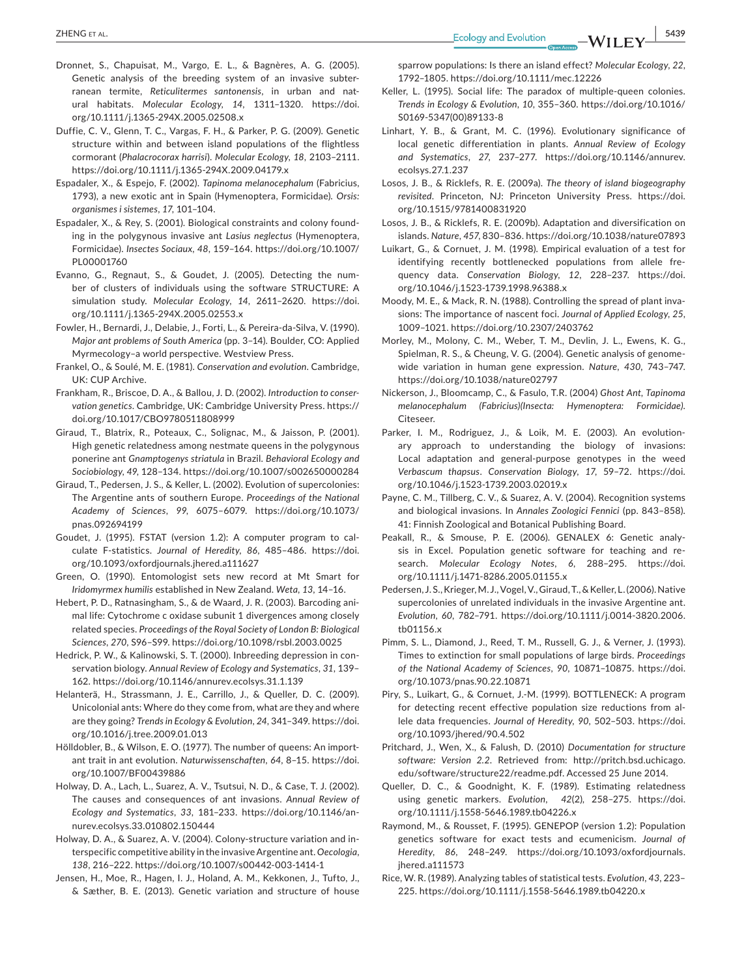- Dronnet, S., Chapuisat, M., Vargo, E. L., & Bagnères, A. G. (2005). Genetic analysis of the breeding system of an invasive subterranean termite, *Reticulitermes santonensis*, in urban and natural habitats. *Molecular Ecology*, *14*, 1311–1320. [https://doi.](https://doi.org/10.1111/j.1365-294X.2005.02508.x) [org/10.1111/j.1365-294X.2005.02508.x](https://doi.org/10.1111/j.1365-294X.2005.02508.x)
- Duffie, C. V., Glenn, T. C., Vargas, F. H., & Parker, P. G. (2009). Genetic structure within and between island populations of the flightless cormorant (*Phalacrocorax harrisi*). *Molecular Ecology*, *18*, 2103–2111. <https://doi.org/10.1111/j.1365-294X.2009.04179.x>
- Espadaler, X., & Espejo, F. (2002). *Tapinoma melanocephalum* (Fabricius, 1793), a new exotic ant in Spain (Hymenoptera, Formicidae)*. Orsis: organismes i sistemes*, *17*, 101–104.
- Espadaler, X., & Rey, S. (2001). Biological constraints and colony founding in the polygynous invasive ant *Lasius neglectus* (Hymenoptera, Formicidae). *Insectes Sociaux*, *48*, 159–164. [https://doi.org/10.1007/](https://doi.org/10.1007/PL00001760) [PL00001760](https://doi.org/10.1007/PL00001760)
- Evanno, G., Regnaut, S., & Goudet, J. (2005). Detecting the number of clusters of individuals using the software STRUCTURE: A simulation study. *Molecular Ecology*, *14*, 2611–2620. [https://doi.](https://doi.org/10.1111/j.1365-294X.2005.02553.x) [org/10.1111/j.1365-294X.2005.02553.x](https://doi.org/10.1111/j.1365-294X.2005.02553.x)
- Fowler, H., Bernardi, J., Delabie, J., Forti, L., & Pereira-da-Silva, V. (1990). *Major ant problems of South America* (pp. 3–14). Boulder, CO: Applied Myrmecology–a world perspective. Westview Press.
- Frankel, O., & Soulé, M. E. (1981). *Conservation and evolution*. Cambridge, UK: CUP Archive.
- Frankham, R., Briscoe, D. A., & Ballou, J. D. (2002). *Introduction to conservation genetics*. Cambridge, UK: Cambridge University Press. [https://](https://doi.org/10.1017/CBO9780511808999) [doi.org/10.1017/CBO9780511808999](https://doi.org/10.1017/CBO9780511808999)
- Giraud, T., Blatrix, R., Poteaux, C., Solignac, M., & Jaisson, P. (2001). High genetic relatedness among nestmate queens in the polygynous ponerine ant *Gnamptogenys striatula* in Brazil. *Behavioral Ecology and Sociobiology*, *49*, 128–134. <https://doi.org/10.1007/s002650000284>
- Giraud, T., Pedersen, J. S., & Keller, L. (2002). Evolution of supercolonies: The Argentine ants of southern Europe. *Proceedings of the National Academy of Sciences*, *99*, 6075–6079. [https://doi.org/10.1073/](https://doi.org/10.1073/pnas.092694199) [pnas.092694199](https://doi.org/10.1073/pnas.092694199)
- Goudet, J. (1995). FSTAT (version 1.2): A computer program to calculate F-statistics. *Journal of Heredity*, *86*, 485–486. [https://doi.](https://doi.org/10.1093/oxfordjournals.jhered.a111627) [org/10.1093/oxfordjournals.jhered.a111627](https://doi.org/10.1093/oxfordjournals.jhered.a111627)
- Green, O. (1990). Entomologist sets new record at Mt Smart for *Iridomyrmex humilis* established in New Zealand. *Weta*, *13*, 14–16.
- Hebert, P. D., Ratnasingham, S., & de Waard, J. R. (2003). Barcoding animal life: Cytochrome c oxidase subunit 1 divergences among closely related species. *Proceedings of the Royal Society of London B: Biological Sciences*, *270*, S96–S99. <https://doi.org/10.1098/rsbl.2003.0025>
- Hedrick, P. W., & Kalinowski, S. T. (2000). Inbreeding depression in conservation biology. *Annual Review of Ecology and Systematics*, *31*, 139– 162. <https://doi.org/10.1146/annurev.ecolsys.31.1.139>
- Helanterä, H., Strassmann, J. E., Carrillo, J., & Queller, D. C. (2009). Unicolonial ants: Where do they come from, what are they and where are they going? *Trends in Ecology & Evolution*, *24*, 341–349. [https://doi.](https://doi.org/10.1016/j.tree.2009.01.013) [org/10.1016/j.tree.2009.01.013](https://doi.org/10.1016/j.tree.2009.01.013)
- Hölldobler, B., & Wilson, E. O. (1977). The number of queens: An important trait in ant evolution. *Naturwissenschaften*, *64*, 8–15. [https://doi.](https://doi.org/10.1007/BF00439886) [org/10.1007/BF00439886](https://doi.org/10.1007/BF00439886)
- Holway, D. A., Lach, L., Suarez, A. V., Tsutsui, N. D., & Case, T. J. (2002). The causes and consequences of ant invasions. *Annual Review of Ecology and Systematics*, *33*, 181–233. [https://doi.org/10.1146/an](https://doi.org/10.1146/annurev.ecolsys.33.010802.150444)[nurev.ecolsys.33.010802.150444](https://doi.org/10.1146/annurev.ecolsys.33.010802.150444)
- Holway, D. A., & Suarez, A. V. (2004). Colony-structure variation and interspecific competitive ability in the invasiveArgentine ant. *Oecologia*, *138*, 216–222. <https://doi.org/10.1007/s00442-003-1414-1>
- Jensen, H., Moe, R., Hagen, I. J., Holand, A. M., Kekkonen, J., Tufto, J., & Sæther, B. E. (2013). Genetic variation and structure of house

sparrow populations: Is there an island effect? *Molecular Ecology*, *22*, 1792–1805. <https://doi.org/10.1111/mec.12226>

- Keller, L. (1995). Social life: The paradox of multiple-queen colonies. *Trends in Ecology & Evolution*, *10*, 355–360. [https://doi.org/10.1016/](https://doi.org/10.1016/S0169-5347(00)89133-8) [S0169-5347\(00\)89133-8](https://doi.org/10.1016/S0169-5347(00)89133-8)
- Linhart, Y. B., & Grant, M. C. (1996). Evolutionary significance of local genetic differentiation in plants. *Annual Review of Ecology and Systematics*, *27*, 237–277. [https://doi.org/10.1146/annurev.](https://doi.org/10.1146/annurev.ecolsys.27.1.237) [ecolsys.27.1.237](https://doi.org/10.1146/annurev.ecolsys.27.1.237)
- Losos, J. B., & Ricklefs, R. E. (2009a). *The theory of island biogeography revisited*. Princeton, NJ: Princeton University Press. [https://doi.](https://doi.org/10.1515/9781400831920) [org/10.1515/9781400831920](https://doi.org/10.1515/9781400831920)
- Losos, J. B., & Ricklefs, R. E. (2009b). Adaptation and diversification on islands. *Nature*, *457*, 830–836. <https://doi.org/10.1038/nature07893>
- Luikart, G., & Cornuet, J. M. (1998). Empirical evaluation of a test for identifying recently bottlenecked populations from allele frequency data. *Conservation Biology*, *12*, 228–237. [https://doi.](https://doi.org/10.1046/j.1523-1739.1998.96388.x) [org/10.1046/j.1523-1739.1998.96388.x](https://doi.org/10.1046/j.1523-1739.1998.96388.x)
- Moody, M. E., & Mack, R. N. (1988). Controlling the spread of plant invasions: The importance of nascent foci. *Journal of Applied Ecology*, *25*, 1009–1021. <https://doi.org/10.2307/2403762>
- Morley, M., Molony, C. M., Weber, T. M., Devlin, J. L., Ewens, K. G., Spielman, R. S., & Cheung, V. G. (2004). Genetic analysis of genomewide variation in human gene expression. *Nature*, *430*, 743–747. <https://doi.org/10.1038/nature02797>
- Nickerson, J., Bloomcamp, C., & Fasulo, T.R. (2004) *Ghost Ant, Tapinoma melanocephalum (Fabricius)(Insecta: Hymenoptera: Formicidae)*. Citeseer.
- Parker, I. M., Rodriguez, J., & Loik, M. E. (2003). An evolutionary approach to understanding the biology of invasions: Local adaptation and general-purpose genotypes in the weed *Verbascum thapsus*. *Conservation Biology*, *17*, 59–72. [https://doi.](https://doi.org/10.1046/j.1523-1739.2003.02019.x) [org/10.1046/j.1523-1739.2003.02019.x](https://doi.org/10.1046/j.1523-1739.2003.02019.x)
- Payne, C. M., Tillberg, C. V., & Suarez, A. V. (2004). Recognition systems and biological invasions. In *Annales Zoologici Fennici* (pp. 843–858). 41: Finnish Zoological and Botanical Publishing Board.
- Peakall, R., & Smouse, P. E. (2006). GENALEX 6: Genetic analysis in Excel. Population genetic software for teaching and research. *Molecular Ecology Notes*, *6*, 288–295. [https://doi.](https://doi.org/10.1111/j.1471-8286.2005.01155.x) [org/10.1111/j.1471-8286.2005.01155.x](https://doi.org/10.1111/j.1471-8286.2005.01155.x)
- Pedersen, J. S., Krieger, M. J., Vogel, V., Giraud, T., & Keller, L. (2006). Native supercolonies of unrelated individuals in the invasive Argentine ant. *Evolution*, *60*, 782–791. [https://doi.org/10.1111/j.0014-3820.2006.](https://doi.org/10.1111/j.0014-3820.2006.tb01156.x) [tb01156.x](https://doi.org/10.1111/j.0014-3820.2006.tb01156.x)
- Pimm, S. L., Diamond, J., Reed, T. M., Russell, G. J., & Verner, J. (1993). Times to extinction for small populations of large birds. *Proceedings of the National Academy of Sciences*, *90*, 10871–10875. [https://doi.](https://doi.org/10.1073/pnas.90.22.10871) [org/10.1073/pnas.90.22.10871](https://doi.org/10.1073/pnas.90.22.10871)
- Piry, S., Luikart, G., & Cornuet, J.-M. (1999). BOTTLENECK: A program for detecting recent effective population size reductions from allele data frequencies. *Journal of Heredity*, *90*, 502–503. [https://doi.](https://doi.org/10.1093/jhered/90.4.502) [org/10.1093/jhered/90.4.502](https://doi.org/10.1093/jhered/90.4.502)
- Pritchard, J., Wen, X., & Falush, D. (2010) *Documentation for structure software: Version 2.2*. Retrieved from: [http://pritch.bsd.uchicago.](http://pritch.bsd.uchicago.edu/software/structure22/readme.pdf) [edu/software/structure22/readme.pdf](http://pritch.bsd.uchicago.edu/software/structure22/readme.pdf). Accessed 25 June 2014.
- Queller, D. C., & Goodnight, K. F. (1989). Estimating relatedness using genetic markers. *Evolution*, *42*(2)*,* 258–275. [https://doi.](https://doi.org/10.1111/j.1558-5646.1989.tb04226.x) [org/10.1111/j.1558-5646.1989.tb04226.x](https://doi.org/10.1111/j.1558-5646.1989.tb04226.x)
- Raymond, M., & Rousset, F. (1995). GENEPOP (version 1.2): Population genetics software for exact tests and ecumenicism. *Journal of Heredity*, *86*, 248–249. [https://doi.org/10.1093/oxfordjournals.](https://doi.org/10.1093/oxfordjournals.jhered.a111573) [jhered.a111573](https://doi.org/10.1093/oxfordjournals.jhered.a111573)
- Rice, W. R. (1989). Analyzing tables of statistical tests. *Evolution*, *43*, 223– 225. <https://doi.org/10.1111/j.1558-5646.1989.tb04220.x>